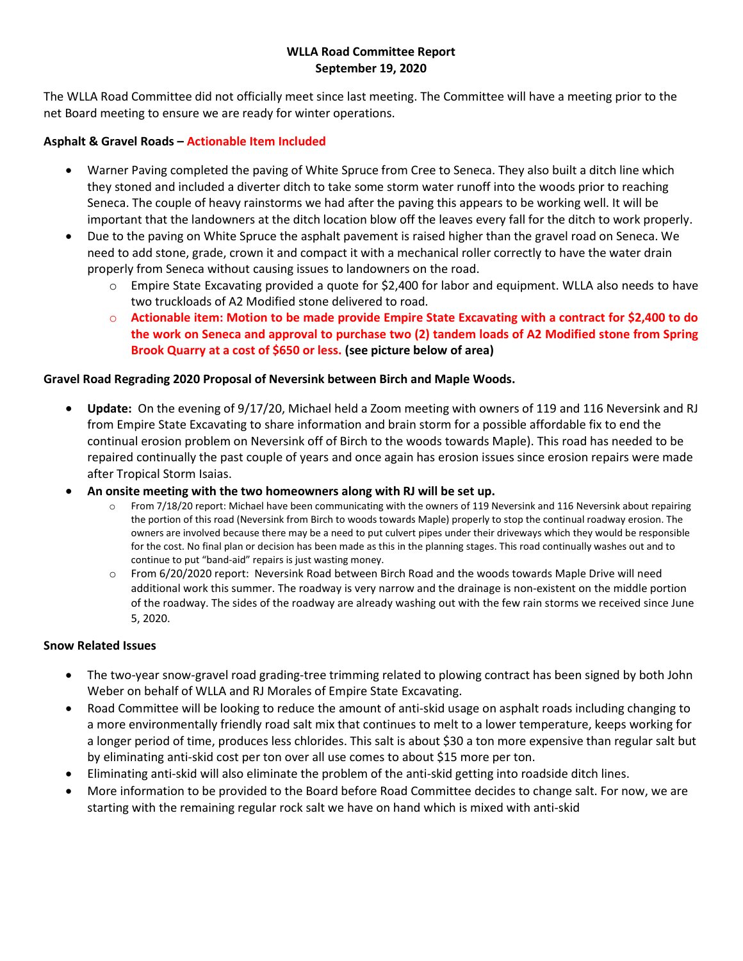## WLLA Road Committee Report September 19, 2020

The WLLA Road Committee did not officially meet since last meeting. The Committee will have a meeting prior to the net Board meeting to ensure we are ready for winter operations.

# Asphalt & Gravel Roads – Actionable Item Included

- Warner Paving completed the paving of White Spruce from Cree to Seneca. They also built a ditch line which they stoned and included a diverter ditch to take some storm water runoff into the woods prior to reaching Seneca. The couple of heavy rainstorms we had after the paving this appears to be working well. It will be important that the landowners at the ditch location blow off the leaves every fall for the ditch to work properly.
- Due to the paving on White Spruce the asphalt pavement is raised higher than the gravel road on Seneca. We need to add stone, grade, crown it and compact it with a mechanical roller correctly to have the water drain properly from Seneca without causing issues to landowners on the road.
	- $\circ$  Empire State Excavating provided a quote for \$2,400 for labor and equipment. WLLA also needs to have two truckloads of A2 Modified stone delivered to road.
	- o Actionable item: Motion to be made provide Empire State Excavating with a contract for \$2,400 to do the work on Seneca and approval to purchase two (2) tandem loads of A2 Modified stone from Spring Brook Quarry at a cost of \$650 or less. (see picture below of area)

## Gravel Road Regrading 2020 Proposal of Neversink between Birch and Maple Woods.

- Update: On the evening of 9/17/20, Michael held a Zoom meeting with owners of 119 and 116 Neversink and RJ from Empire State Excavating to share information and brain storm for a possible affordable fix to end the continual erosion problem on Neversink off of Birch to the woods towards Maple). This road has needed to be repaired continually the past couple of years and once again has erosion issues since erosion repairs were made after Tropical Storm Isaias.
- An onsite meeting with the two homeowners along with RJ will be set up.
	- $\circ$  From 7/18/20 report: Michael have been communicating with the owners of 119 Neversink and 116 Neversink about repairing the portion of this road (Neversink from Birch to woods towards Maple) properly to stop the continual roadway erosion. The owners are involved because there may be a need to put culvert pipes under their driveways which they would be responsible for the cost. No final plan or decision has been made as this in the planning stages. This road continually washes out and to continue to put "band-aid" repairs is just wasting money.
	- o From 6/20/2020 report: Neversink Road between Birch Road and the woods towards Maple Drive will need additional work this summer. The roadway is very narrow and the drainage is non-existent on the middle portion of the roadway. The sides of the roadway are already washing out with the few rain storms we received since June 5, 2020.

## Snow Related Issues

- The two-year snow-gravel road grading-tree trimming related to plowing contract has been signed by both John Weber on behalf of WLLA and RJ Morales of Empire State Excavating.
- Road Committee will be looking to reduce the amount of anti-skid usage on asphalt roads including changing to a more environmentally friendly road salt mix that continues to melt to a lower temperature, keeps working for a longer period of time, produces less chlorides. This salt is about \$30 a ton more expensive than regular salt but by eliminating anti-skid cost per ton over all use comes to about \$15 more per ton.
- Eliminating anti-skid will also eliminate the problem of the anti-skid getting into roadside ditch lines.
- More information to be provided to the Board before Road Committee decides to change salt. For now, we are starting with the remaining regular rock salt we have on hand which is mixed with anti-skid